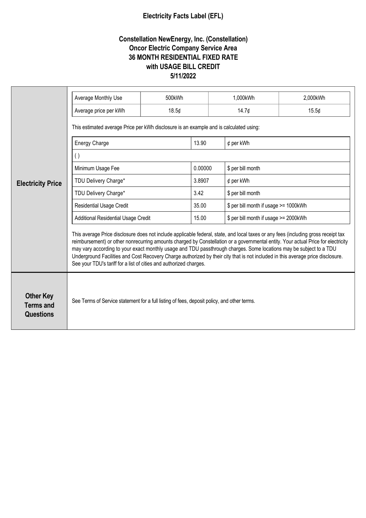## **Electricity Facts Label (EFL)**

## **Constellation NewEnergy, Inc. (Constellation) Oncor Electric Company Service Area 36 MONTH RESIDENTIAL FIXED RATE with USAGE BILL CREDIT 5/11/2022**

| <b>Electricity Price</b>                                 | Average Monthly Use                                                                                                                                                                                                                                                                                                                                                                                                                                                                                                                                                                                    | 500kWh |         | 1,000kWh<br>2,000kWh                  |       |  |
|----------------------------------------------------------|--------------------------------------------------------------------------------------------------------------------------------------------------------------------------------------------------------------------------------------------------------------------------------------------------------------------------------------------------------------------------------------------------------------------------------------------------------------------------------------------------------------------------------------------------------------------------------------------------------|--------|---------|---------------------------------------|-------|--|
|                                                          |                                                                                                                                                                                                                                                                                                                                                                                                                                                                                                                                                                                                        |        |         |                                       |       |  |
|                                                          | Average price per kWh                                                                                                                                                                                                                                                                                                                                                                                                                                                                                                                                                                                  | 18.5¢  |         | 14.7¢                                 | 15.5¢ |  |
|                                                          | This estimated average Price per kWh disclosure is an example and is calculated using:                                                                                                                                                                                                                                                                                                                                                                                                                                                                                                                 |        |         |                                       |       |  |
|                                                          | <b>Energy Charge</b>                                                                                                                                                                                                                                                                                                                                                                                                                                                                                                                                                                                   |        | 13.90   | $¢$ per kWh                           |       |  |
|                                                          | $\left( \ \right)$                                                                                                                                                                                                                                                                                                                                                                                                                                                                                                                                                                                     |        |         |                                       |       |  |
|                                                          | Minimum Usage Fee                                                                                                                                                                                                                                                                                                                                                                                                                                                                                                                                                                                      |        | 0.00000 | \$ per bill month                     |       |  |
|                                                          | TDU Delivery Charge*                                                                                                                                                                                                                                                                                                                                                                                                                                                                                                                                                                                   |        | 3.8907  | $¢$ per kWh                           |       |  |
|                                                          | TDU Delivery Charge*                                                                                                                                                                                                                                                                                                                                                                                                                                                                                                                                                                                   |        | 3.42    | \$ per bill month                     |       |  |
|                                                          | <b>Residential Usage Credit</b>                                                                                                                                                                                                                                                                                                                                                                                                                                                                                                                                                                        |        | 35.00   | \$ per bill month if usage >= 1000kWh |       |  |
|                                                          | <b>Additional Residential Usage Credit</b>                                                                                                                                                                                                                                                                                                                                                                                                                                                                                                                                                             |        | 15.00   | \$ per bill month if usage >= 2000kWh |       |  |
|                                                          | This average Price disclosure does not include applicable federal, state, and local taxes or any fees (including gross receipt tax<br>reimbursement) or other nonrecurring amounts charged by Constellation or a governmental entity. Your actual Price for electricity<br>may vary according to your exact monthly usage and TDU passthrough charges. Some locations may be subject to a TDU<br>Underground Facilities and Cost Recovery Charge authorized by their city that is not included in this average price disclosure.<br>See your TDU's tariff for a list of cities and authorized charges. |        |         |                                       |       |  |
| <b>Other Key</b><br><b>Terms and</b><br><b>Questions</b> | See Terms of Service statement for a full listing of fees, deposit policy, and other terms.                                                                                                                                                                                                                                                                                                                                                                                                                                                                                                            |        |         |                                       |       |  |